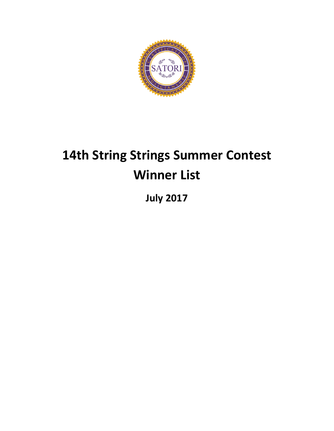

# **14th String Strings Summer Contest Winner List**

**July 2017**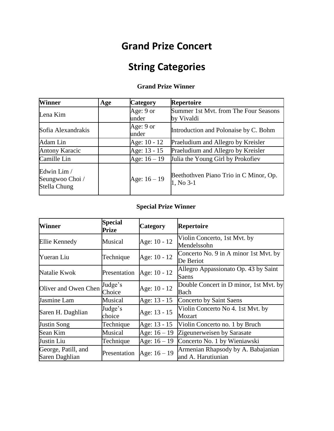### **Grand Prize Concert**

### **String Categories**

#### **Grand Prize Winner**

| <b>Winner</b>                                  | Age | <b>Category</b>    | <b>Repertoire</b>                                   |
|------------------------------------------------|-----|--------------------|-----------------------------------------------------|
| Lena Kim                                       |     | Age: 9 or          | Summer 1st Myt. from The Four Seasons               |
|                                                |     | under              | by Vivaldi                                          |
| Sofia Alexandrakis                             |     | Age: 9 or<br>under | Introduction and Polonaise by C. Bohm               |
|                                                |     |                    |                                                     |
| Adam Lin                                       |     | Age: 10 - 12       | Praeludium and Allegro by Kreisler                  |
| <b>Antony Karacic</b>                          |     | Age: 13 - 15       | Praeludium and Allegro by Kreisler                  |
| Camille Lin                                    |     | Age: $16 - 19$     | Julia the Young Girl by Prokofiev                   |
| Edwin Lim /<br>Seungwoo Choi /<br>Stella Chung |     | Age: $16 - 19$     | Beethothven Piano Trio in C Minor, Op.<br>1, No 3-1 |

#### **Special Prize Winner**

| Winner                                | <b>Special</b><br>Prize | <b>Category</b> | <b>Repertoire</b>                                        |
|---------------------------------------|-------------------------|-----------------|----------------------------------------------------------|
| Ellie Kennedy                         | Musical                 | Age: 10 - 12    | Violin Concerto, 1st Mvt. by<br>Mendelssohn              |
| Yueran Liu                            | Technique               | Age: 10 - 12    | Concerto No. 9 in A minor 1st Mvt. by<br>De Beriot       |
| Natalie Kwok                          | Presentation            | Age: 10 - 12    | Allegro Appassionato Op. 43 by Saint<br>Saens            |
| Oliver and Owen Chen                  | Judge's<br>Choice       | Age: 10 - 12    | Double Concert in D minor, 1st Myt. by<br>Bach           |
| Jasmine Lam                           | Musical                 | Age: 13 - 15    | Concerto by Saint Saens                                  |
| Saren H. Daghlian                     | Judge's<br>choice       | Age: 13 - 15    | Violin Concerto No 4. 1st Mvt. by<br>Mozart              |
| Justin Song                           | Technique               | Age: 13 - 15    | Violin Concerto no. 1 by Bruch                           |
| Sean Kim                              | Musical                 | Age: $16 - 19$  | Zigeunerweisen by Sarasate                               |
| Justin Liu                            | Technique               | Age: $16 - 19$  | Concerto No. 1 by Wieniawski                             |
| George, Patill, and<br>Saren Daghlian | Presentation            | Age: $16 - 19$  | Armenian Rhapsody by A. Babajanian<br>and A. Harutiunian |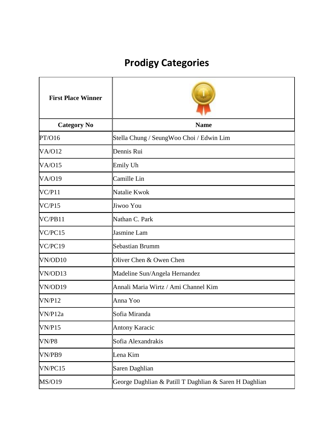### **Prodigy Categories**

| <b>First Place Winner</b> |                                                        |
|---------------------------|--------------------------------------------------------|
| <b>Category No</b>        | <b>Name</b>                                            |
| PT/O16                    | Stella Chung / SeungWoo Choi / Edwin Lim               |
| <b>VA/O12</b>             | Dennis Rui                                             |
| VA/O15                    | Emily Uh                                               |
| <b>VA/O19</b>             | Camille Lin                                            |
| VC/P11                    | Natalie Kwok                                           |
| VC/P15                    | Jiwoo You                                              |
| VC/PB11                   | Nathan C. Park                                         |
| VC/PC15                   | Jasmine Lam                                            |
| VC/PC19                   | <b>Sebastian Brumm</b>                                 |
| VN/OD10                   | Oliver Chen & Owen Chen                                |
| VN/OD13                   | Madeline Sun/Angela Hernandez                          |
| VN/OD19                   | Annali Maria Wirtz / Ami Channel Kim                   |
| <b>VN/P12</b>             | Anna Yoo                                               |
| VN/P12a                   | Sofia Miranda                                          |
| VN/P15                    | <b>Antony Karacic</b>                                  |
| VN/P8                     | Sofia Alexandrakis                                     |
| VN/PB9                    | Lena Kim                                               |
| VN/PC15                   | Saren Daghlian                                         |
| <b>MS/O19</b>             | George Daghlian & Patill T Daghlian & Saren H Daghlian |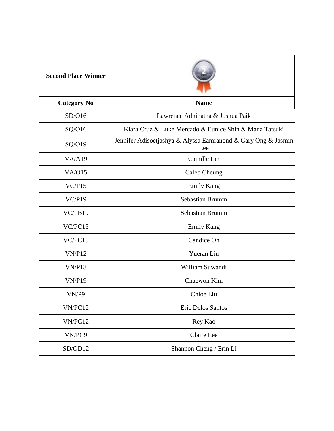| <b>Second Place Winner</b> |                                                                      |
|----------------------------|----------------------------------------------------------------------|
| <b>Category No</b>         | <b>Name</b>                                                          |
| SD/O16                     | Lawrence Adhinatha & Joshua Paik                                     |
| SQ/O16                     | Kiara Cruz & Luke Mercado & Eunice Shin & Mana Tatsuki               |
| SQ/O19                     | Jennifer Adisoetjashya & Alyssa Eamranond & Gary Ong & Jasmin<br>Lee |
| VA/Al9                     | Camille Lin                                                          |
| VA/O15                     | Caleb Cheung                                                         |
| VC/P15                     | <b>Emily Kang</b>                                                    |
| VC/P19                     | Sebastian Brumm                                                      |
| VC/PB19                    | Sebastian Brumm                                                      |
| VC/PC15                    | <b>Emily Kang</b>                                                    |
| VC/PC19                    | Candice Oh                                                           |
| <b>VN/P12</b>              | Yueran Liu                                                           |
| VN/P13                     | William Suwandi                                                      |
| <b>VN/P19</b>              | Chaewon Kim                                                          |
| VN/P9                      | Chloe Liu                                                            |
| VN/PC12                    | Eric Delos Santos                                                    |
| VN/PC12                    | Rey Kao                                                              |
| VN/PC9                     | Claire Lee                                                           |
| SD/OD12                    | Shannon Cheng / Erin Li                                              |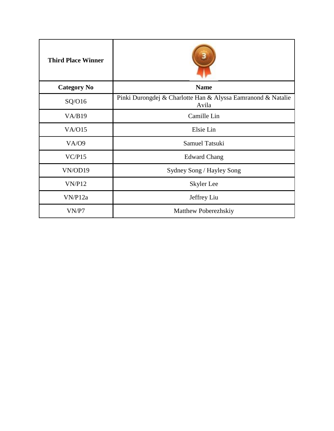| <b>Third Place Winner</b> |                                                                       |
|---------------------------|-----------------------------------------------------------------------|
| <b>Category No</b>        | <b>Name</b>                                                           |
| SQ/O16                    | Pinki Durongdej & Charlotte Han & Alyssa Eamranond & Natalie<br>Avila |
| VA/B19                    | Camille Lin                                                           |
| VA/O15                    | Elsie Lin                                                             |
| <b>VA/09</b>              | <b>Samuel Tatsuki</b>                                                 |
| VC/P15                    | <b>Edward Chang</b>                                                   |
| VN/OD19                   | Sydney Song / Hayley Song                                             |
| VN/P12                    | Skyler Lee                                                            |
| VN/P12a                   | Jeffrey Liu                                                           |
| VN/P7                     | Matthew Poberezhskiy                                                  |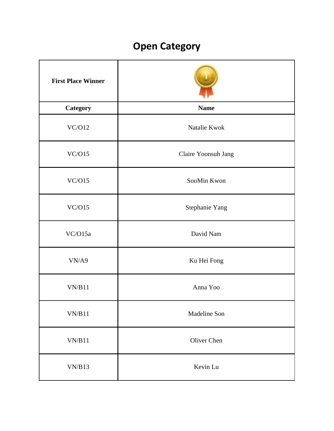### **Open Category**

| <b>First Place Winner</b> |                     |
|---------------------------|---------------------|
| <b>Category</b>           | <b>Name</b>         |
| VC/O12                    | Natalie Kwok        |
| VC/O15                    | Claire Yoonsuh Jang |
| VC/O15                    | SooMin Kwon         |
| VC/O15                    | Stephanie Yang      |
| VC/O15a                   | David Nam           |
| VN/A9                     | Ku Hei Fong         |
| VN/B11                    | Anna Yoo            |
| VN/B11                    | Madeline Son        |
| VN/B11                    | Oliver Chen         |
| VN/B13                    | Kevin Lu            |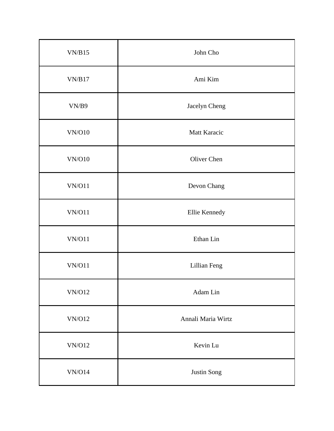| VN/B15                                                           | John Cho           |
|------------------------------------------------------------------|--------------------|
| VN/B17                                                           | Ami Kim            |
| VN/B9                                                            | Jacelyn Cheng      |
| <b>VN/O10</b>                                                    | Matt Karacic       |
| VN/O10                                                           | Oliver Chen        |
| VN/O11                                                           | Devon Chang        |
| VN/O11                                                           | Ellie Kennedy      |
| VN/O11                                                           | Ethan Lin          |
| VN/O11                                                           | Lillian Feng       |
| $\ensuremath{\text{VN}}\xspace/\ensuremath{\text{O}}\xspace12$   | Adam Lin           |
| $\ensuremath{\text{VN}}\xspace/\ensuremath{\text{O}}\xspace12$   | Annali Maria Wirtz |
| $\ensuremath{\text{VN}}\xspace/\ensuremath{\text{O}}\xspace12$   | Kevin Lu           |
| $\ensuremath{\text{VN}}\xspace/\ensuremath{\text{O}}\xspace\,14$ | Justin Song        |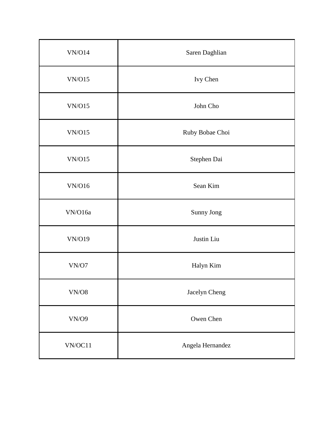| VN/O14                                                 | Saren Daghlian   |
|--------------------------------------------------------|------------------|
| VN/O15                                                 | Ivy Chen         |
| VN/O15                                                 | John Cho         |
| VN/O15                                                 | Ruby Bobae Choi  |
| VN/O15                                                 | Stephen Dai      |
| VN/O16                                                 | Sean Kim         |
| VN/O16a                                                | Sunny Jong       |
| <b>VN/O19</b>                                          | Justin Liu       |
| VN/O7                                                  | Halyn Kim        |
| $\ensuremath{\text{VN}}\xspace/\ensuremath{\text{O}}8$ | Jacelyn Cheng    |
| VN/O9                                                  | Owen Chen        |
| VN/OC11                                                | Angela Hernandez |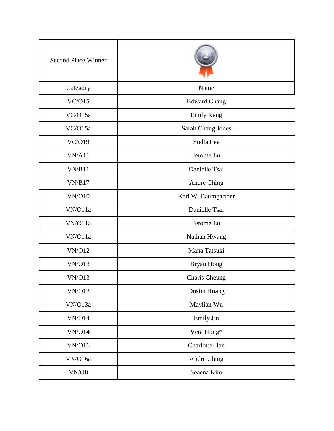| <b>Second Place Winner</b>                             |                     |
|--------------------------------------------------------|---------------------|
| Category                                               | Name                |
| VC/O15                                                 | <b>Edward Chang</b> |
| VC/O15a                                                | <b>Emily Kang</b>   |
| VC/O15a                                                | Sarah Chang Jones   |
| VC/O19                                                 | Stella Lee          |
| VN/A11                                                 | Jerome Lu           |
| VN/B11                                                 | Danielle Tsai       |
| VN/B17                                                 | Andre Ching         |
| <b>VN/O10</b>                                          | Karl W. Baumgartner |
| VN/O11a                                                | Danielle Tsai       |
| VN/O11a                                                | Jerome Lu           |
| VN/O11a                                                | Nathan Hwang        |
| <b>VN/O12</b>                                          | Mana Tatsuki        |
| <b>VN/O13</b>                                          | Bryan Hong          |
| <b>VN/O13</b>                                          | Charis Cheung       |
| <b>VN/O13</b>                                          | Dustin Huang        |
| VN/O13a                                                | Maylian Wu          |
| VN/O14                                                 | Emily Jin           |
| VN/O14                                                 | Vera Hong*          |
| <b>VN/O16</b>                                          | Charlotte Han       |
| VN/O16a                                                | Andre Ching         |
| $\ensuremath{\text{VN}}\xspace/\ensuremath{\text{O}}8$ | Seaena Kim          |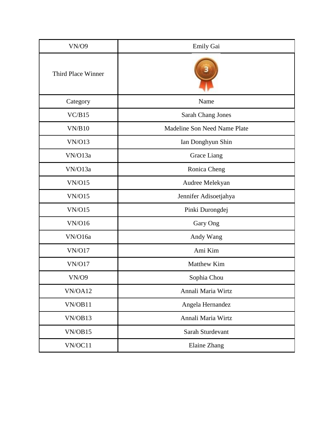| <b>VN/O9</b>       | Emily Gai                    |
|--------------------|------------------------------|
| Third Place Winner |                              |
| Category           | Name                         |
| VC/B15             | Sarah Chang Jones            |
| VN/B10             | Madeline Son Need Name Plate |
| <b>VN/O13</b>      | Ian Donghyun Shin            |
| VN/O13a            | Grace Liang                  |
| VN/O13a            | Ronica Cheng                 |
| VN/O15             | Audree Melekyan              |
| <b>VN/O15</b>      | Jennifer Adisoetjahya        |
| <b>VN/O15</b>      | Pinki Durongdej              |
| <b>VN/O16</b>      | Gary Ong                     |
| VN/O16a            | Andy Wang                    |
| <b>VN/O17</b>      | Ami Kim                      |
| <b>VN/O17</b>      | Matthew Kim                  |
| <b>VN/09</b>       | Sophia Chou                  |
| VN/OA12            | Annali Maria Wirtz           |
| VN/OB11            | Angela Hernandez             |
| VN/OB13            | Annali Maria Wirtz           |
| VN/OB15            | Sarah Sturdevant             |
| VN/OC11            | Elaine Zhang                 |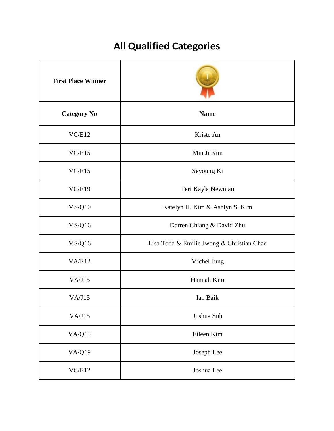## **All Qualified Categories**

| <b>First Place Winner</b> |                                           |
|---------------------------|-------------------------------------------|
| <b>Category No</b>        | <b>Name</b>                               |
| VC/E12                    | Kriste An                                 |
| VC/E15                    | Min Ji Kim                                |
| VC/E15                    | Seyoung Ki                                |
| VC/E19                    | Teri Kayla Newman                         |
| <b>MS/Q10</b>             | Katelyn H. Kim & Ashlyn S. Kim            |
| MS/Q16                    | Darren Chiang & David Zhu                 |
| MS/Q16                    | Lisa Toda & Emilie Jwong & Christian Chae |
| VA/E12                    | Michel Jung                               |
| VA/J15                    | Hannah Kim                                |
| VA/J15                    | Ian Baik                                  |
| VA/J15                    | Joshua Suh                                |
| VA/Q15                    | Eileen Kim                                |
| <b>VA/Q19</b>             | Joseph Lee                                |
| VC/E12                    | Joshua Lee                                |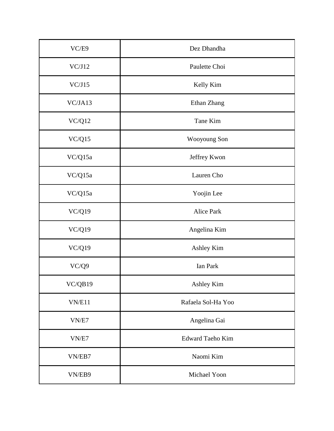| VC/E9         | Dez Dhandha             |
|---------------|-------------------------|
| VC/J12        | Paulette Choi           |
| VC/J15        | Kelly Kim               |
| VC/JA13       | Ethan Zhang             |
| VC/Q12        | Tane Kim                |
| VC/Q15        | Wooyoung Son            |
| VC/Q15a       | Jeffrey Kwon            |
| VC/Q15a       | Lauren Cho              |
| VC/Q15a       | Yoojin Lee              |
| <b>VC/Q19</b> | Alice Park              |
| VC/Q19        | Angelina Kim            |
| VC/Q19        | Ashley Kim              |
| VC/Q9         | Ian Park                |
| VC/QB19       | Ashley Kim              |
| VN/E11        | Rafaela Sol-Ha Yoo      |
| VN/E7         | Angelina Gai            |
| VN/E7         | <b>Edward Taeho Kim</b> |
| VN/EB7        | Naomi Kim               |
| VN/EB9        | Michael Yoon            |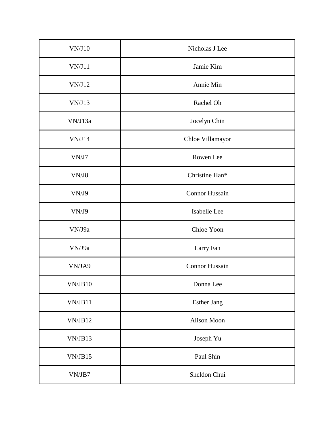| VN/J10  | Nicholas J Lee        |
|---------|-----------------------|
| VN/J11  | Jamie Kim             |
| VN/J12  | Annie Min             |
| VN/J13  | Rachel Oh             |
| VN/J13a | Jocelyn Chin          |
| VN/J14  | Chloe Villamayor      |
| VN/J7   | Rowen Lee             |
| VN/J8   | Christine Han*        |
| VN/J9   | <b>Connor Hussain</b> |
| VN/J9   | Isabelle Lee          |
| VN/J9a  | Chloe Yoon            |
| VN/J9a  | Larry Fan             |
| VN/JA9  | Connor Hussain        |
| VN/JB10 | Donna Lee             |
| VN/JB11 | <b>Esther Jang</b>    |
| VN/JB12 | Alison Moon           |
| VN/JB13 | Joseph Yu             |
| VN/JB15 | Paul Shin             |
| VN/JB7  | Sheldon Chui          |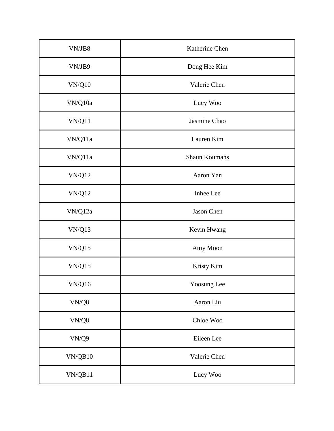| VN/JB8                                                          | Katherine Chen |
|-----------------------------------------------------------------|----------------|
| VN/JB9                                                          | Dong Hee Kim   |
| $\ensuremath{\text{VN}}\xspace/\ensuremath{\text{Q}}\xspace 10$ | Valerie Chen   |
| VN/Q10a                                                         | Lucy Woo       |
| VN/Q11                                                          | Jasmine Chao   |
| VN/Q11a                                                         | Lauren Kim     |
| VN/Q11a                                                         | Shaun Koumans  |
| VN/Q12                                                          | Aaron Yan      |
| <b>VN/Q12</b>                                                   | Inhee Lee      |
| $\ensuremath{\text{VN}}\xspace/\ensuremath{\text{Q}}\xspace12a$ | Jason Chen     |
| VN/Q13                                                          | Kevin Hwang    |
| VN/Q15                                                          | Amy Moon       |
| VN/Q15                                                          | Kristy Kim     |
| VN/Q16                                                          | Yoosung Lee    |
| $\ensuremath{\text{VN}}\xspace/\ensuremath{\text{Q}}8$          | Aaron Liu      |
| $\ensuremath{\text{VN}}\xspace/\ensuremath{\text{Q}}8$          | Chloe Woo      |
| VN/Q9                                                           | Eileen Lee     |
| VN/QB10                                                         | Valerie Chen   |
| VN/QB11                                                         | Lucy Woo       |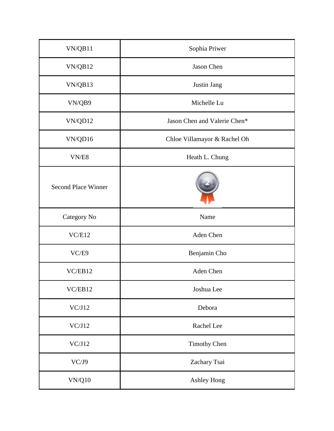| VN/QB11                                                         | Sophia Priwer                |
|-----------------------------------------------------------------|------------------------------|
| VN/QB12                                                         | Jason Chen                   |
| VN/QB13                                                         | Justin Jang                  |
| VN/QB9                                                          | Michelle Lu                  |
| VN/QD12                                                         | Jason Chen and Valerie Chen* |
| VN/QD16                                                         | Chloe Villamayor & Rachel Oh |
| VN/ES                                                           | Heath L. Chung               |
| <b>Second Place Winner</b>                                      |                              |
| Category No                                                     | Name                         |
| VC/E12                                                          | Aden Chen                    |
| VC/E9                                                           | Benjamin Cho                 |
| VC/EB12                                                         | Aden Chen                    |
| VC/EB12                                                         | Joshua Lee                   |
| VC/J12                                                          | Debora                       |
| VC/J12                                                          | Rachel Lee                   |
| VC/J12                                                          | <b>Timothy Chen</b>          |
| VC/J9                                                           | Zachary Tsai                 |
| $\ensuremath{\text{VN}}\xspace/\ensuremath{\text{Q}}\xspace 10$ | Ashley Hong                  |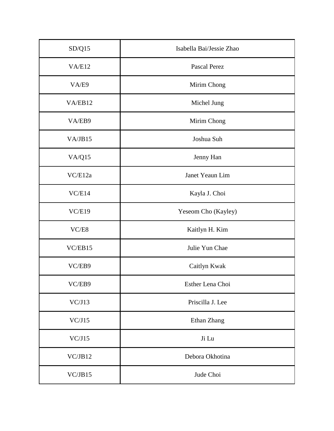| SD/Q15  | Isabella Bai/Jessie Zhao |
|---------|--------------------------|
| VA/El2  | Pascal Perez             |
| VA/E9   | Mirim Chong              |
| VA/EB12 | Michel Jung              |
| VA/EB9  | Mirim Chong              |
| VA/JB15 | Joshua Suh               |
| VA/Q15  | Jenny Han                |
| VC/E12a | Janet Yeaun Lim          |
| VC/E14  | Kayla J. Choi            |
| VC/E19  | Yeseom Cho (Kayley)      |
| VC/ES   | Kaitlyn H. Kim           |
| VC/EB15 | Julie Yun Chae           |
| VC/EB9  | Caitlyn Kwak             |
| VC/EB9  | Esther Lena Choi         |
| VC/J13  | Priscilla J. Lee         |
| VC/J15  | Ethan Zhang              |
| VC/J15  | Ji Lu                    |
| VC/JB12 | Debora Okhotina          |
| VC/JB15 | Jude Choi                |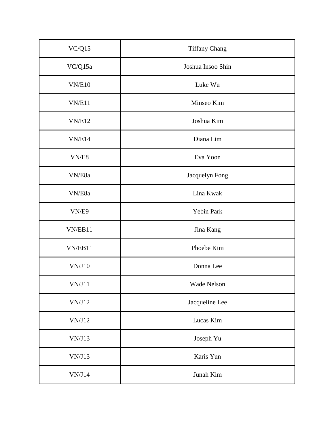| VC/Q15        | <b>Tiffany Chang</b> |
|---------------|----------------------|
| VC/Q15a       | Joshua Insoo Shin    |
| <b>VN/E10</b> | Luke Wu              |
| VN/E11        | Minseo Kim           |
| VN/E12        | Joshua Kim           |
| VN/E14        | Diana Lim            |
| VN/ES         | Eva Yoon             |
| VN/E8a        | Jacquelyn Fong       |
| VN/E8a        | Lina Kwak            |
| VN/E9         | Yebin Park           |
| VN/EB11       | Jina Kang            |
| VN/EB11       | Phoebe Kim           |
| VN/J10        | Donna Lee            |
| VN/J11        | Wade Nelson          |
| VN/J12        | Jacqueline Lee       |
| VN/J12        | Lucas Kim            |
| VN/J13        | Joseph Yu            |
| VN/J13        | Karis Yun            |
| VN/J14        | Junah Kim            |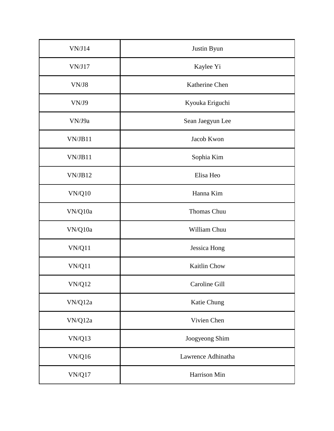| VN/J14                                                          | Justin Byun        |
|-----------------------------------------------------------------|--------------------|
| VN/J17                                                          | Kaylee Yi          |
| VN/J8                                                           | Katherine Chen     |
| VN/J9                                                           | Kyouka Eriguchi    |
| VN/J9a                                                          | Sean Jaegyun Lee   |
| VN/JB11                                                         | Jacob Kwon         |
| VN/JB11                                                         | Sophia Kim         |
| VN/JB12                                                         | Elisa Heo          |
| VN/Q10                                                          | Hanna Kim          |
| VN/Q10a                                                         | Thomas Chuu        |
| VN/Q10a                                                         | William Chuu       |
| VN/Q11                                                          | Jessica Hong       |
| VN/Q11                                                          | Kaitlin Chow       |
| $\ensuremath{\text{VN}}\xspace/\ensuremath{\text{Q}}\xspace12$  | Caroline Gill      |
| $\ensuremath{\text{VN}}\xspace/\ensuremath{\text{Q}}\xspace12a$ | Katie Chung        |
| VN/Q12a                                                         | Vivien Chen        |
| <b>VN/Q13</b>                                                   | Joogyeong Shim     |
| <b>VN/Q16</b>                                                   | Lawrence Adhinatha |
| VN/Q17                                                          | Harrison Min       |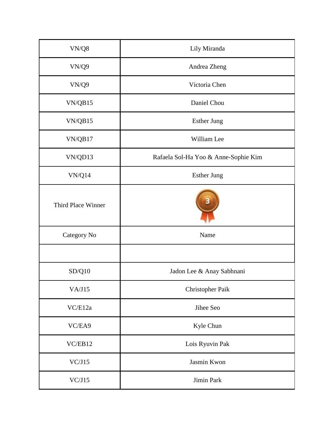| VN/Q8              | Lily Miranda                         |
|--------------------|--------------------------------------|
| VN/Q9              | Andrea Zheng                         |
| VN/Q9              | Victoria Chen                        |
| VN/QB15            | Daniel Chou                          |
| VN/QB15            | <b>Esther Jung</b>                   |
| VN/QB17            | William Lee                          |
| VN/QD13            | Rafaela Sol-Ha Yoo & Anne-Sophie Kim |
| VN/Q14             | <b>Esther Jung</b>                   |
| Third Place Winner |                                      |
| Category No        | Name                                 |
|                    |                                      |
| SD/Q10             | Jadon Lee & Anay Sabhnani            |
| VA/J15             | Christopher Paik                     |
| VC/E12a            | Jihee Seo                            |
| VC/EA9             | Kyle Chun                            |
| VC/EB12            | Lois Ryuvin Pak                      |
| VC/J15             | Jasmin Kwon                          |
| VC/J15             | Jimin Park                           |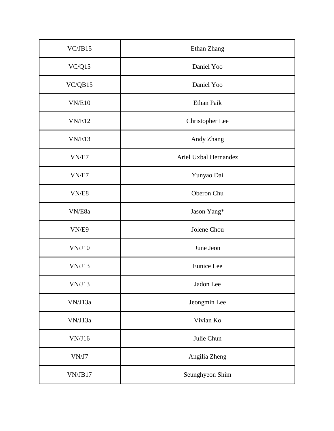| VC/JB15                                                           | Ethan Zhang           |
|-------------------------------------------------------------------|-----------------------|
| VC/Q15                                                            | Daniel Yoo            |
| VC/QB15                                                           | Daniel Yoo            |
| VN/E10                                                            | Ethan Paik            |
| VN/E12                                                            | Christopher Lee       |
| VN/E13                                                            | Andy Zhang            |
| VN/E7                                                             | Ariel Uxbal Hernandez |
| VN/E7                                                             | Yunyao Dai            |
| VN/ES                                                             | Oberon Chu            |
| VN/E8a                                                            | Jason Yang*           |
| VN/E9                                                             | Jolene Chou           |
| $\ensuremath{\text{VN}}\xspace/\ensuremath{\text{J}}\xspace\, 10$ | June Jeon             |
| VN/J13                                                            | Eunice Lee            |
| VN/J13                                                            | Jadon Lee             |
| VN/J13a                                                           | Jeongmin Lee          |
| VN/J13a                                                           | Vivian Ko             |
| VN/J16                                                            | Julie Chun            |
| VN/J7                                                             | Angilia Zheng         |
| VN/JB17                                                           | Seunghyeon Shim       |